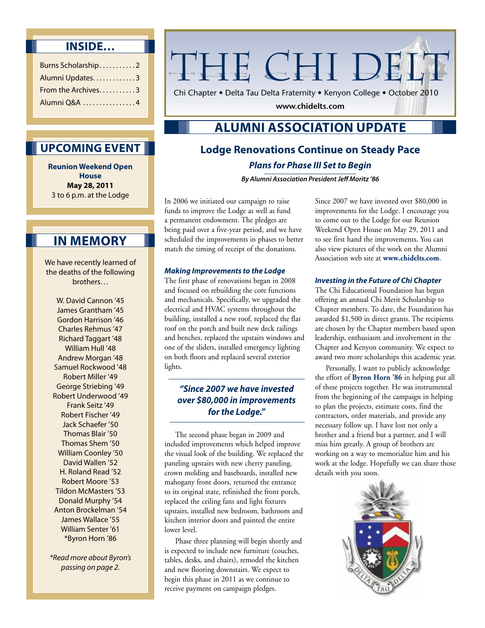## **Inside…**

| Burns Scholarship2 |  |
|--------------------|--|
| Alumni Updates3    |  |
| From the Archives3 |  |
| Alumni Q&A 4       |  |

# THE CHI DELT

Chi Chapter • Delta Tau Delta Fraternity • Kenyon College • October 2010

**www.chidelts.com**

# **Alumni Association Update**

# **Lodge Renovations Continue on Steady Pace** *Plans for Phase III Set to Begin*

*By Alumni Association President Jeff Moritz '86* 

In 2006 we initiated our campaign to raise funds to improve the Lodge as well as fund a permanent endowment. The pledges are being paid over a five-year period, and we have scheduled the improvements in phases to better match the timing of receipt of the donations.

#### *Making Improvements to the Lodge*

The first phase of renovations began in 2008 and focused on rebuilding the core functions and mechanicals. Specifically, we upgraded the electrical and HVAC systems throughout the building, installed a new roof, replaced the flat roof on the porch and built new deck railings and benches, replaced the upstairs windows and one of the sliders, installed emergency lighting on both floors and replaced several exterior lights.

#### *"Since 2007 we have invested over \$80,000 in improvements for the Lodge."*

The second phase began in 2009 and included improvements which helped improve the visual look of the building. We replaced the paneling upstairs with new cherry paneling, crown molding and baseboards, installed new mahogany front doors, returned the entrance to its original state, refinished the front porch, replaced the ceiling fans and light fixtures upstairs, installed new bedroom, bathroom and kitchen interior doors and painted the entire lower level.

Phase three planning will begin shortly and is expected to include new furniture (couches, tables, desks, and chairs), remodel the kitchen and new flooring downstairs. We expect to begin this phase in 2011 as we continue to receive payment on campaign pledges.

Since 2007 we have invested over \$80,000 in improvements for the Lodge. I encourage you to come out to the Lodge for our Reunion Weekend Open House on May 29, 2011 and to see first hand the improvements. You can also view pictures of the work on the Alumni Association web site at **www.chidelts.com**.

#### *Investing in the Future of Chi Chapter*

The Chi Educational Foundation has begun offering an annual Chi Merit Scholarship to Chapter members. To date, the Foundation has awarded \$1,500 in direct grants. The recipients are chosen by the Chapter members based upon leadership, enthusiasm and involvement in the Chapter and Kenyon community. We expect to award two more scholarships this academic year.

Personally, I want to publicly acknowledge the effort of **Byron Horn '86** in helping put all of these projects together. He was instrumental from the beginning of the campaign in helping to plan the projects, estimate costs, find the contractors, order materials, and provide any necessary follow up. I have lost not only a brother and a friend but a partner, and I will miss him greatly. A group of brothers are working on a way to memorialize him and his work at the lodge. Hopefully we can share those details with you soon.



## **Upcoming Event**

**Reunion Weekend Open House May 28, 2011**  3 to 6 p.m. at the Lodge

# **In Memory**

We have recently learned of the deaths of the following brothers…

W. David Cannon '45 James Grantham '45 Gordon Harrison '46 Charles Rehmus '47 Richard Taggart '48 William Hull '48 Andrew Morgan '48 Samuel Rockwood '48 Robert Miller '49 George Striebing '49 Robert Underwood '49 Frank Seitz '49 Robert Fischer '49 Jack Schaefer '50 Thomas Blair '50 Thomas Shem '50 William Coonley '50 David Wallen '52 H. Roland Read '52 Robert Moore '53 Tildon McMasters '53 Donald Murphy '54 Anton Brockelman '54 James Wallace '55 William Senter '61 \*Byron Horn '86

*\*Read more about Byron's passing on page 2.*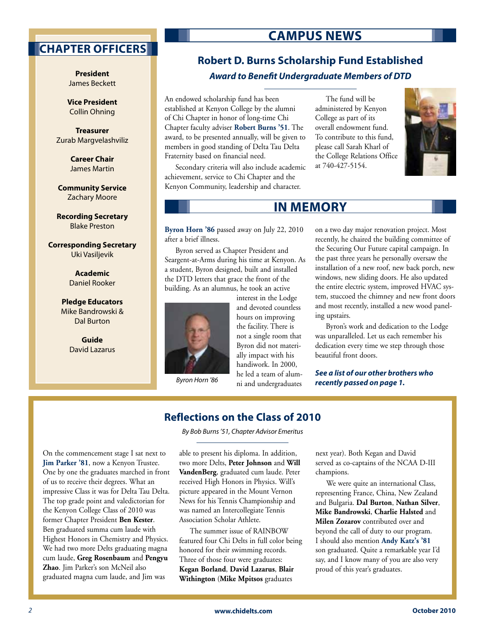## **Chapter Officers**

**President**  James Beckett

**Vice President**  Collin Ohning

**Treasurer**  Zurab Margvelashviliz

> **Career Chair** James Martin

**Community Service** Zachary Moore

**Recording Secretary** Blake Preston

**Corresponding Secretary** Uki Vasiljevik

> **Academic** Daniel Rooker

**Pledge Educators**  Mike Bandrowski & Dal Burton

> **Guide**  David Lazarus

# **Campus News**

## **Robert D. Burns Scholarship Fund Established** *Award to Benefit Undergraduate Members of DTD*

An endowed scholarship fund has been established at Kenyon College by the alumni of Chi Chapter in honor of long-time Chi Chapter faculty adviser **Robert Burns '51**. The award, to be presented annually, will be given to members in good standing of Delta Tau Delta Fraternity based on financial need.

Secondary criteria will also include academic achievement, service to Chi Chapter and the Kenyon Community, leadership and character.

The fund will be administered by Kenyon College as part of its overall endowment fund. To contribute to this fund, please call Sarah Kharl of the College Relations Office at 740-427-5154.



# **In Memory**

**Byron Horn '86** passed away on July 22, 2010 after a brief illness.

Byron served as Chapter President and Seargent-at-Arms during his time at Kenyon. As a student, Byron designed, built and installed the DTD letters that grace the front of the building. As an alumnus, he took an active

> interest in the Lodge and devoted countless hours on improving the facility. There is not a single room that Byron did not materially impact with his handiwork. In 2000, he led a team of alumni and undergraduates



*Byron Horn '86*

on a two day major renovation project. Most recently, he chaired the building committee of the Securing Our Future capital campaign. In the past three years he personally oversaw the installation of a new roof, new back porch, new windows, new sliding doors. He also updated the entire electric system, improved HVAC system, stuccoed the chimney and new front doors and most recently, installed a new wood paneling upstairs.

Byron's work and dedication to the Lodge was unparalleled. Let us each remember his dedication every time we step through those beautiful front doors.

*See a list of our other brothers who recently passed on page 1.*

## **Reflections on the Class of 2010**

*By Bob Burns '51, Chapter Advisor Emeritus*

On the commencement stage I sat next to **Jim Parker '81**, now a Kenyon Trustee. One by one the graduates marched in front of us to receive their degrees. What an impressive Class it was for Delta Tau Delta. The top grade point and valedictorian for the Kenyon College Class of 2010 was former Chapter President **Ben Kester**. Ben graduated summa cum laude with Highest Honors in Chemistry and Physics. We had two more Delts graduating magna cum laude, **Greg Rosenbaum** and **Pengyu Zhao**. Jim Parker's son McNeil also graduated magna cum laude, and Jim was

able to present his diploma. In addition, two more Delts, **Peter Johnson** and **Will VandenBerg**, graduated cum laude. Peter received High Honors in Physics. Will's picture appeared in the Mount Vernon News for his Tennis Championship and was named an Intercollegiate Tennis Association Scholar Athlete.

The summer issue of RAINBOW featured four Chi Delts in full color being honored for their swimming records. Three of those four were graduates: **Kegan Borland**, **David Lazarus**, **Blair Withington** (**Mike Mpitsos** graduates

next year). Both Kegan and David served as co-captains of the NCAA D-III champions.

We were quite an international Class, representing France, China, New Zealand and Bulgaria. **Dal Burton**, **Nathan Silver**, **Mike Bandrowski**, **Charlie Halsted** and **Milen Zozarov** contributed over and beyond the call of duty to our program. I should also mention **Andy Katz's '81** son graduated. Quite a remarkable year I'd say, and I know many of you are also very proud of this year's graduates.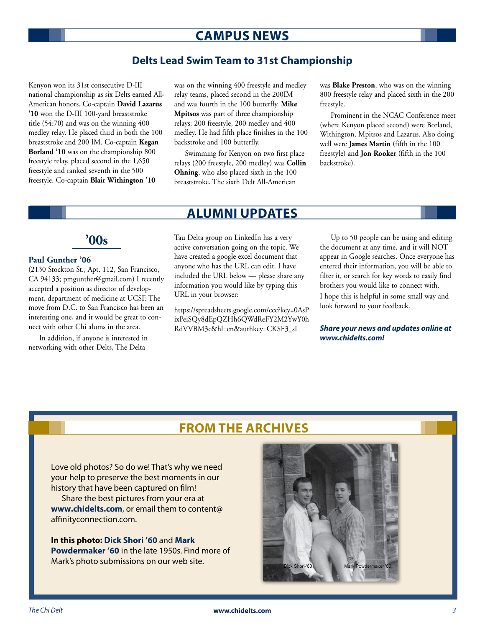# **Campus News**

### **Delts Lead Swim Team to 31st Championship**

Kenyon won its 31st consecutive D-III national championship as six Delts earned All-American honors. Co-captain **David Lazarus '10** won the D-III 100-yard breaststroke title (54:70) and was on the winning 400 medley relay. He placed third in both the 100 breaststroke and 200 IM. Co-captain **Kegan Borland '10** was on the championship 800 freestyle relay, placed second in the 1,650 freestyle and ranked seventh in the 500 freestyle. Co-captain **Blair Withington '10**

was on the winning 400 freestyle and medley relay teams, placed second in the 200IM and was fourth in the 100 butterfly. **Mike Mpitsos** was part of three championship relays: 200 freestyle, 200 medley and 400 medley. He had fifth place finishes in the 100 backstroke and 100 butterfly.

Swimming for Kenyon on two first place relays (200 freestyle, 200 medley) was **Collin Ohning**, who also placed sixth in the 100 breaststroke. The sixth Delt All-American

was **Blake Preston**, who was on the winning 800 freestyle relay and placed sixth in the 200 freestyle.

Prominent in the NCAC Conference meet (where Kenyon placed second) were Borland, Withington, Mpitsos and Lazarus. Also doing well were **James Martin** (fifth in the 100 freestyle) and **Jon Rooker** (fifth in the 100 backstroke).

## **Alumni Updates**

# **'00s**

#### **Paul Gunther '06**

(2130 Stockton St., Apt. 112, San Francisco, CA 94133; pmgunther@gmail.com) I recently accepted a position as director of development, department of medicine at UCSF. The move from D.C. to San Francisco has been an interesting one, and it would be great to connect with other Chi alums in the area.

In addition, if anyone is interested in networking with other Delts, The Delta

Tau Delta group on LinkedIn has a very active conversation going on the topic. We have created a google excel document that anyone who has the URL can edit. I have included the URL below — please share any information you would like by typing this URL in your browser:

https://spreadsheets.google.com/ccc?key=0AsP ixPeiSQy8dEpQZHh6QWdReFY2M2YwY0h RdVVBM3c&hl=en&authkey=CKSF3\_sI

Up to 50 people can be using and editing the document at any time, and it will NOT appear in Google searches. Once everyone has entered their information, you will be able to filter it, or search for key words to easily find brothers you would like to connect with.

I hope this is helpful in some small way and look forward to your feedback.

*Share your news and updates online at www.chidelts.com!*

# **From the Archives**

Love old photos? So do we! That's why we need your help to preserve the best moments in our history that have been captured on film!

Share the best pictures from your era at **www.chidelts.com**, or email them to content@ affinityconnection.com.

**In this photo: Dick Shori '60** and **Mark Powdermaker '60** in the late 1950s. Find more of Mark's photo submissions on our web site.